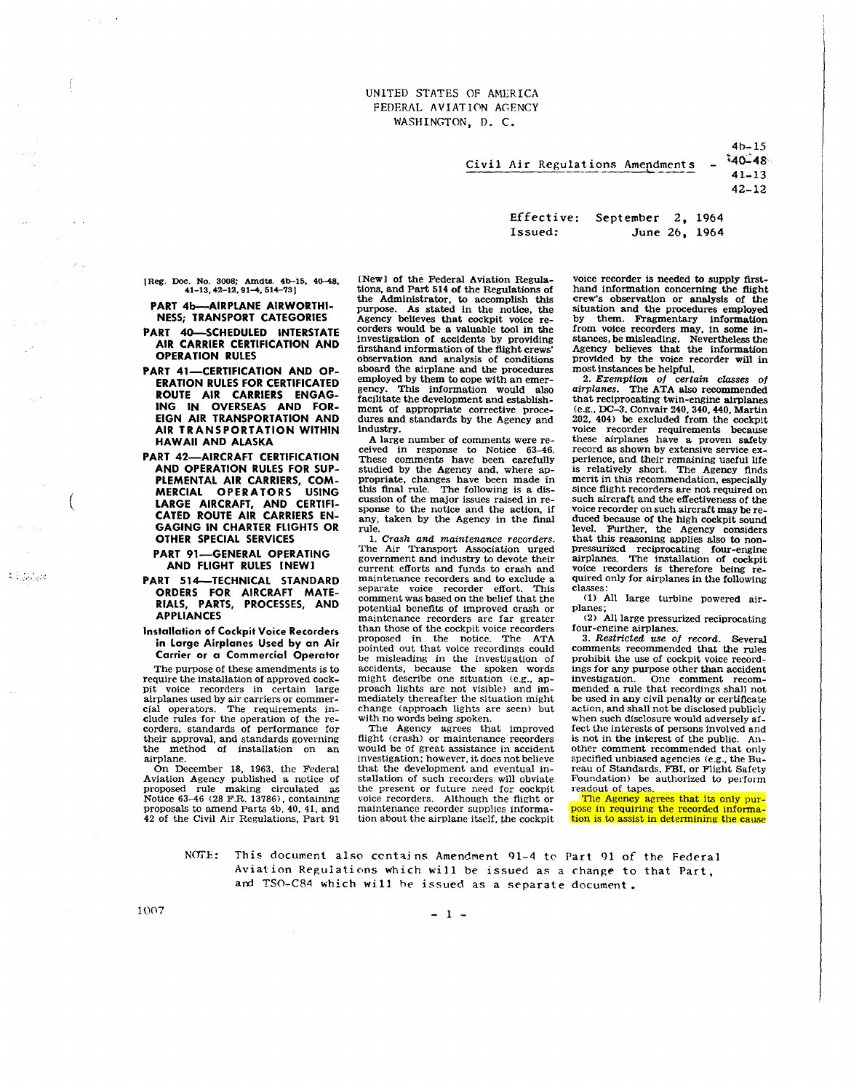Civil

| Air Regulations Amendments |                   |               | 40-13<br>$40 - 48$<br>$41 - 13$<br>$42 - 12$ |
|----------------------------|-------------------|---------------|----------------------------------------------|
| Effective:<br>Issued:      | September 2, 1964 | June 26, 1964 |                                              |

(Reg. Doc. No. 3008; Amdts. 4b-15, 40-48,  $41-13$ ,  $42-12$ ,  $91-4$ ,  $514-73$ 

PART 4b-AIRPLANE AIRWORTHI-NESS; TRANSPORT CATEGORIES

- PART 40-SCHEDULED INTERSTATE AIR CARRIER CERTIFICATION AND OPERATION RULES
- PART 41-CERTIFICATION AND OP-ERATION RULES FOR CERTIFICATED ROUTE AIR CARRIERS ENGAG-ING IN OVERSEAS AND FOR-EIGN AIR TRANSPORTATION AND AIR TRANSPORTATION WITHIN HAWAII AND ALASKA
- PART 42-AIRCRAFT CERTIFICATION AND OPERATION RULES FOR SUP-PLEMENTAL AIR CARRIERS, COM-MERCIAL OPERATORS LARGE AIRCRAFT, AND CERTIFI-CATED ROUTE AIR CARRIERS EN-GAGING IN CHARTER FLIGHTS OR OTHER SPECIAL SERVICES

PART 91-GENERAL OPERATING AND FLIGHT RULES [NEW]

PART Sl4-TECHNICAL STANDARD ORDERS FOR AIRCRAFT MATE-RIALS, PARTS, PROCESSES, AND APPLIANCES

Installation of Cockpit Voice Recorders in Large Airplanes Used by an Air Carrier or a Commercial Operator

The purpose of these amendments is to require the installation of approved cockvoice recorders in certain large airplanes used by air carriers or commer- cial operators. The requirements incorders, standards of performance for their approval. and standards governing the method of installation on an airplane.

On December 18. 1963, the Federal Aviation Agency published a notice of proposed rule making circulated as<br>Notice 63–46 (28 F.R. 13786), containing<br>proposals to amend Parts 4b, 40, 41, and 42 of the Civil Air Regulations, Part 91

[New] of the Federal Aviation Regulations, and Part 514 of the Regulations of<br>the Administrator, to accomplish this purpose. As stated in the notice, the<br>Agency believes that cockpit voice re-Agency believes that cockpit voice re-<br>corders would be a valuable tool in the<br>investigation of accidents by providing<br>firsthand information of the flight crews' observation and analysis of conditions aboard the airplane and the procedures gency. This information would also<br>facilitate the development and establishment of appropriate corrective procedures and standards by the Agency and industry.<br>A large number of comments were re-

ceived in response to Notice 63-46. These comments have been carefully studied by the Agency and, where appropriate, changes have been made in this final rule. The following is a dis-<br>cussion of the major issues raised in re-<br>sponse to the notice and the action, if sponse to the notice and the action, if<br>any, taken by the Agency in the final rule.

1. Crash and maintenance recorders. The Air Transport Association urged government and industry to devote their<br>current efforts and funds to crash and<br>maintenance recorders and to exclude a separate voice recorder effort. This comment was based on the belief that the potential benefits of improved crash or maintenance recorders are far greater than those of the cockpit voice recorders<br>proposed in the notice. The ATA proposed in the notice. pointed out that voice recordings could be misleading in the investigation of accidents, because the spoken words might describe one Situation (e.g., approach lights are not visible) and immediately thereafter the situation might change (approach lights are seen) but with no words being spoken.

The Agency agrees that improved flight (crash) or maintenance' recorders would be of great assistance in accident investigation; however, it does not believe that the development and eventual installation of such recorders will obviate the present or future need for cockpit voice recorders. Although the flight or maintenance recorder supplies information about the airplane itself, the cockpit voice recorder is needed to supply firsthand information concerning the flight crew's observation or analysis of the Situation and the procedures employed by them. Fragmentary information from voice recorders may, in some instances, be misleading. Nevertheless the Agency believes that the information provided by the voice recorder will in most instances be helpful.

4b-15

2. Exemption 0/ certain classes *0/*  airplanes. The ATA also recommended that reciprocating twin-engine airplanes (e.g., DC-3, Convair 240, 340,440, Martin 202, 404) be excluded from the cockpit voice recorder requirements because these airplanes have a proven safety perience, and their remaining useful life is relatively short. The Agency finds merit in this recommendation, especially since flight recorders are not required on<br>such aircraft and the effectiveness of the<br>voice recorder on such aircraft may be reduced because of the high cockpit sound level. Further, the Agency considers that this reasoning applies also to non-<br>pressurized reciprocating four-engine<br>airplanes. The installation of cockpit<br>voice recorders is therefore being re-<br>quired only for airplanes in the following classes:

(1) All large turbine powered airplanes;

(2) All large pressurized reciprocating four-engine airplanes.<br>3. Restricted use of record. Several

comments recommended that the rules prohibit the use of cockpit voice recordings for any purpose other than accident investigation. One comment recordings shall not mended a rule that recordings shall not be used in any civil penalty or certificate<br>action, and shall not be disclosed publicly when such disclosure WOuld adversely affect the interests of persons involved and is not in the interest of the public. Another comment recommended that only<br>specified unbiased agencies (e.g., the Bureau of Standards, FBI, or Flight Safety Foundation) be authorized to perform readout of tapes.

The Agency agrees that its only pur-pose in requiring the recorded information is to assist in determining the cause

NOTE: This document also contains Amendment 91-4 to Part 91 of the Federal Aviation Regulations which will be issued as a change to that Part. ard TSO-C84 which will he issued as a separate document.

(

i isklys

 $1007 - 1$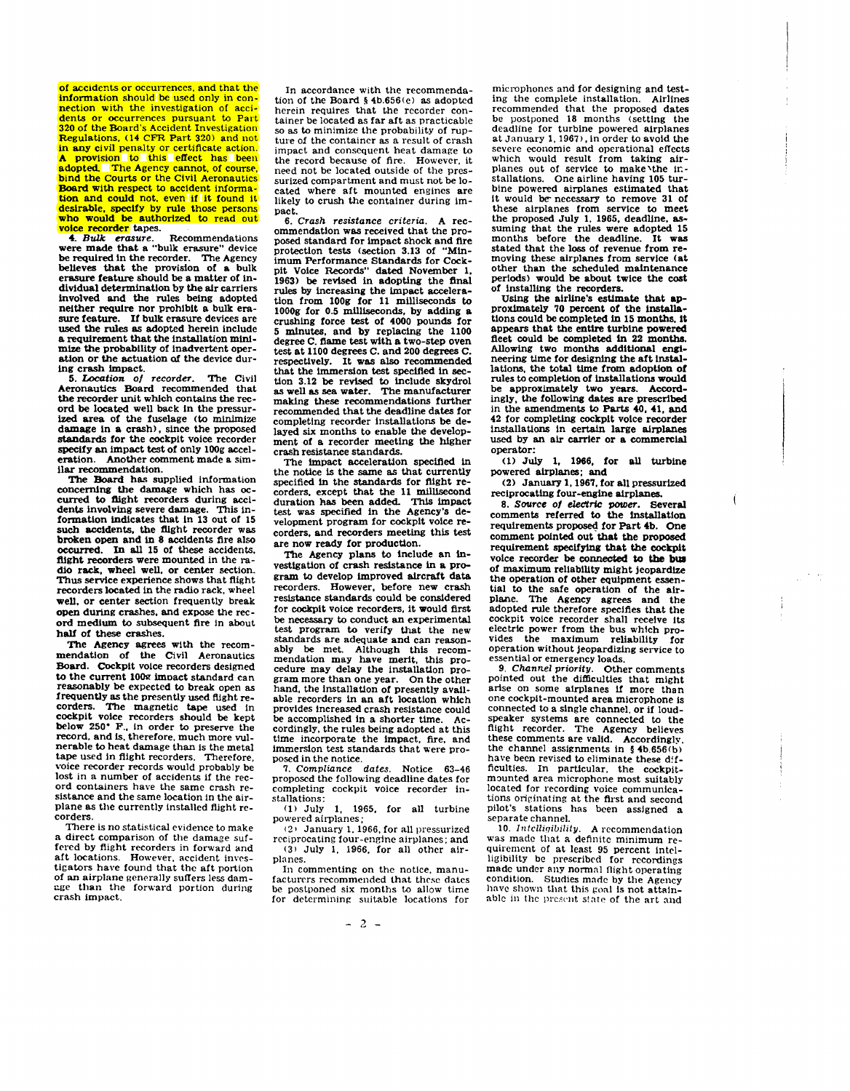of accidcnts or occurrences, and that the information should be used only in con- nection with the investigation of accidents or occurrences pursuant to Part 320 of the Board's Accident Investigation Regulations, (14 CPR Part 320) and not in any civil penalty or certificate action. A provision to this effect has been adopted. The Agency cannot, of course, bind the Courts or the Civil Aeronautics Board with respect to accident information and could not, even if it found it desirable, specify by rule those persons<br>who would be authorized to read out

woice recorder tapes.<br>
4. *Bulk erasure.* Recommendations were made that a "bulk erasure" device<br>
be required in the recorder. The Agency be required in the recorder. believes that the provision of a bulk erasure feature should be a matter of individual determination by the air carriers involved and the rules being adopted netther require nor prohibit a bulk erasure devices are used the rules as adopted herein include a requirement that the Installation minimize the probability of inadvertent operation or the actuation at the device during crash impact.

*5.* Location 0/ recorder. The Civil Aeronautics Board recommended that<br>the recorder unit which contains the record be located well back in the pressurized area of the fuselage (to minimize damage in a crash), since the proposed standards for the cockpit voice recorder specify an impact test of only l00g acceleration. Another comment made a similar recommendation.

The Board has supplied information<br>concerning the damage which has occoncerning the damage which has oc- curred to flight recorders during accidents involving severe damage. This information indicates that in 13 out of 15 such accidents, the flight recorder was<br>broken open and in 8 accidents fire also occurred. In all 15 of these accidents,<br>flight recorders were mounted in the radio rack, wheel well, or center section. Thus service experience shows that flight recorders located In the radio rack, wheel well, or center section frequently break open during crashes, and expose the record medium to subsequent fire in about half of these crashes.

The Agency agrees with the recommendaton of the Civil Aeronautics Board. Cockpit voice recorders designed<br>to the current 100g impact standard can to the current 100<sub>2</sub> impact standard can reasonably be expected to break open as frequently used flight re-<br>corders. The magnetic tape used in cockpit voice recorders should be kept below 250· F., In order to preserve the record, and Is, therefore, much more vulnerable to heat damage than is the metal tape used in flight recorders. Therefore, voice recorder records would probably be<br>lost in a number of accidents if the record containers have the same crash re-<br>sistance and the same location in the airplane as the currently installed flight re-<br>corders.<br>There is no statistical evidence to make

a direct comparison of the damage suffered by flight recorders in forward and aft locations. However, accident investigators have found that the aft portion of an airplane generally sulTers less dam-e.ge than the forward portion during crash impact.

In accordance with the recommendation of the Board  $\S$  4b.656(e) as adopted<br>herein requires that the recorder container be located as far aft as practicable<br>so as to minimize the probability of rup-<br>ture of the container as a result of crash impact and consequent heat damage to the record because of fire. However, it need not be located outside of the pressurized compartment and must not be lo-<br>cated, where, aft, mounted, engines, are likely to crush the container during impact.<br>6. Crash resistance criteria.

6. Crash resistance *criteria.* A rec- ommendation was received that the proposed standard for impact shock and fire<br>protection tests (section 3.13 of "Minprotection tests (section 3.13 of Imum Performance Standards for Cock-pit Voice Records" dated November 1, 1963) be revised in adopting the flnal rules by increasing the impact accelera-<br>tion from 100g for 11 milliseconds to 1000g for 0.5 milliseconds, by adding a crushing force test of 4000 pounds for 5 minutes, and by replacing the 1100 degree C, fiame test with a two-step oven test at 1100 degrees C. and 200 degrees ( respectively. It was also recommended<br>that the immersion test specified in section 3.12 be revised to include skydrol as well as sea water. The manufacturer maklng these recommendations further recommended that the deadline dates for completing recorder installations be de-<br>layed six months to enable the development of a recorder meeting the higher crash resistance standards,

The impact acceleration specified in the notice is the same as that currently specified in the standards for flight recorders, except that the 11 millisecond duration has been added. This impact test was specified in the Agency's development program for cockpit voice recorders, and recorders meeting this test are now ready for production,

The Agency plans to Include an investigation of crash resistance In a program to develop improved aircraft data recorders. However, before new crash resistance standards could be considered for cockpit voice recorders, it would first<br>be necessary to conduct an experimental test program to verify that the new standards are adequate and can reason-<br>ably be met. Although this recom-<br>mendation may have merit, this procedure may delay the installation program more than one year. On the other hand, the installation of presently available recorders In an aft location which provides increased crash resistance could be accomplished in a shorter time. Accordingly, the rules being adopted at this time incorporate the impact, fire, and immersion test standards that were proposed in the notice.

*7.* Compliance dates. Notice 63-46 proposed the following deadline dates for completing cockpit voice recorder installations:

 $(1)$  July 1, 1965, for all turbine powered airplanes;

<2' January 1. 1966, for all pressurized reciprocating four-engine airplanes; and (3) July 1, 1966, for all other airplanes.

In commenting on the notice, manu facturers recommended that these dates be postponed six months to allow time for determining suitable locations for

microphones and for designing and test- ing the complete installation. Airlines recommended that the proposed dates<br>be postponed 18 months (setting the deadline for turbine powered airplanes at January 1, 1967), In order to avoid the severe economic and operational effects which would result from taking air-<br>planes out of service to make'the installatlons. One airline having 105 tur- bine powered airplanes estimated that it would be necessary to remove 31 of these airplanes from service to meet the proposed July 1, 1965, deadline, as-<br>suming that the rules were adopted 15 months before the deadline. It was stated that the loss of revenue from re-<br>moving these airplanes from service (at other than the scheduled maintenance periods) would be about twice the cost of installing the recorders.

Using the airline's estimate that approximately 70 percent of the Installations could be completed In 15 months, It appears that the entire turbine powered fleet could be completed in 22 months. Allowing two months additional engineering time for designing the aft installations, the total time from adoption of rules to completion of installations would be approximately two years, Accord-ingly, the following dates are prescribed In the amendments to Parts 40, 41, and 42 for completing cockpit voice recorder installations In certain large airplanes used by an air carrier or a commercial operator:

(1) July I, 1966, for all turbine powered airplanes; and

(2) January I, 1967, for all pressurized reciprocating four-engine airplanes.

Í

*8,* Suurce *01 eleCtric* power. Several comments referred to the installation requirements proposed for Part 4b, One comment pointed out'that the proposed requirement specifying that the cockpit voice recorder be connected to the **bus**  of maximum rellab1Uty might jeopardize the operation of other equipment essen- tial to the safe operation of the airplane. The Agency agrees and the adopted rule therefore specifies that the cockpit voice recorder shall receive its electric power from the bus which provides the maximum reliability for operation without jeopardizing service to essential or emergency loads.

9. Channel priority. Other comments pointed out the difficulties that might arise on some airplanes if more than one cockpit-mounted area microphone is connected to a single channel, or if loudspeaker systems are connected to the fiight recorder. The Agency believes these comments are valid. Accordingly, the channel assignments in § 4b.656(b) have been revised to eliminate these difficulties. In particular, the cockpit-<br>mounted area microphone most suitably located for recording voice communications originating at the first and second pilot's stations has been assigned a separate channel.

10. Intelligibility. A recommendation was made that a definite minimum requirement of at least 95 percent intel-<br>ligibility be prescribed for recordings made under any normal flight operating condition. Studies made by the Agency have shown that this goal is not attainable in the present state of the art and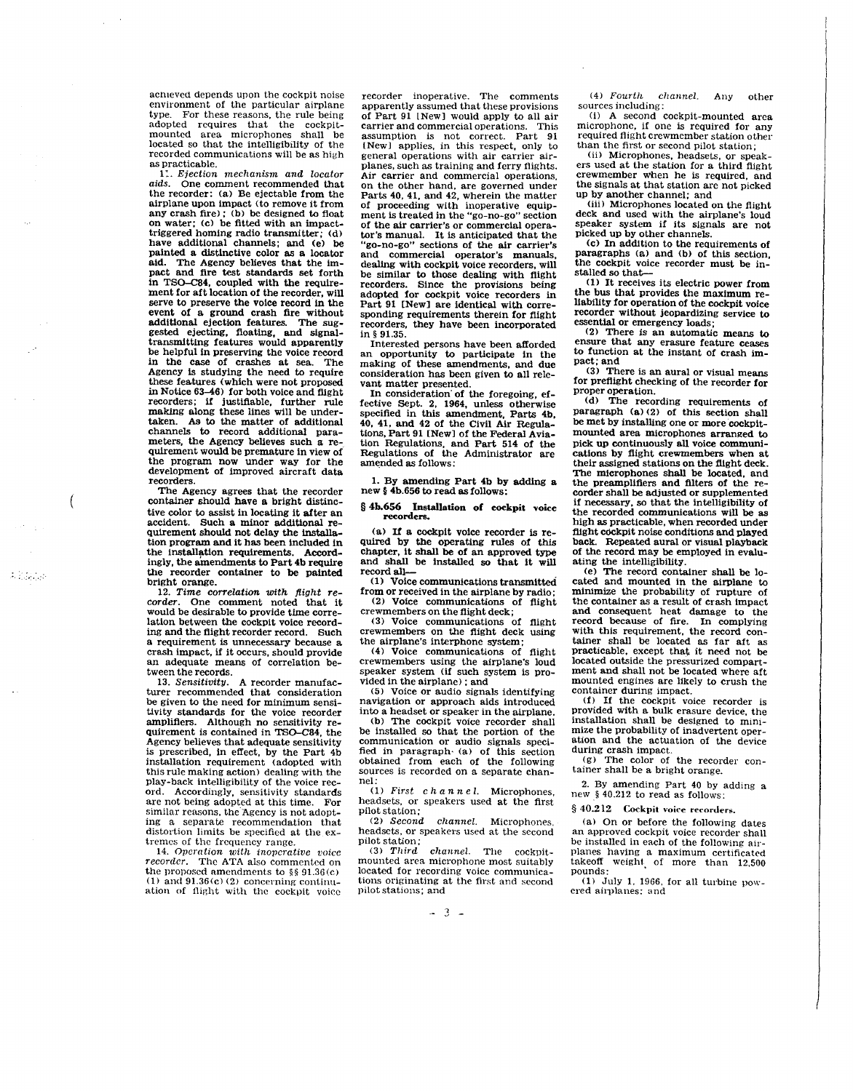aChieved depends upon the cockpit noise environment of the particular airplane<br>type For these reasons the rule being For these reasons, the rule being adopted requires that the cockpit-mounted area microphones shall be located so that the intelligibility of the recorded communications will be as high as practicable.

1:. Ejection mechanism and locator aids. One comment recommended that the recorder: (a) Be ejectable from the airplane upon impact (to remove it from<br>any crash fire); (b) be designed to float on water; (c) be fitted with an impacttriggered homing radio transmitter; (d) have additional channels; and (e) be painted a distinctive color as a locator ald. The Agency believes that the impact and flre test standards set forth in TSO-C84, coupled with the require-<br>ment for aft location of the recorder, will<br>serve to preserve the voice record in the<br>event of a ground crash fire without<br>additional election features. The sugadditional ejection features. gested ejecting, floating, and slgnal-transmitting features would apparently be helpful in preserving the voice record in the case of crashes at sea. The Agency is studying the need to require these features (which were not proposed in Notice 63-46) for both voice and flight recorders; if justifiable, further rule making along these lines will be undertaken. As to the matter of additional channels to record additional para-<br>meters, the Agency believes such a re-<br>quirement would be premature in view of the program now under way for the development of improved aircraft data recorders.

The Agency agrees that the recorder container should have a bright distinctive color to assist in locating it after an accident. Such a minor additional re- quirement should not delay the installation program and it has been included in the Installation requirements. Accord-ingly, the amendments to Part 4b require the recorder container to be painted bright orange.

;" .. ,'.'

12. Time correlation with flight recorder. One comment noted that it would be desirable to provide time correlation between the cockpit voice record-<br>ing and the flight recorder record. Such a requirement is unnecessary because a reash impact, if it occurs, should provide an adequate means of correlation be-<br>tween the records.<br>13. Sensitivity. A recorder manufac-

turer recommended that consideration be given to the need for minimum sensitivity standards for the voice recorder<br>amplifiers. Although no sensitivity requirement is contained in TSO-C84, the Agency believes that adequate sensitivity is prescribed, in effect. by the Part 4b installation requirement (adopted with this rule making action) dealing with the ord. Accordingly, sensitivity standards are not being adopted at this time. For similar reasons. the "Agency is not adopt-ing a separate recommendation that distortion limits be specified at the ex-<br>tremes of the frequency range.

14. Operation with inoperative voice<br>recorder. The ATA also commented on the proposed amendments to  $\frac{1}{2}$  91.36(c) (1) and  $91.36(c)$  (2) concerning continuation of Hight with the cockpit voiee

recorder inoperative. The comments apparently assumed that these provisions of Part 91 [New] would apply to all air carrier and commercial operations. This assumption is not correct. Part 91 (New) applies, in this respect, only to general operations with air carrier airplanes, such as training and ferry flights.<br>Air carrier and commercial operations, Air carrier and commercial operations. on the other hand. are governed under Parts 40, 41, and 42, wherein the matter of proceeding with inoperative equip-<br>ment is treated in the "go-no-go" section of the air carrier's or commercial opera-tor's manual. It is anticipated that the "go-no-go" sections of the air carrier's and commercial operator's manuals, dealing with cockpit voice recorders, will be similar to those dealing with flight recorders. Since the provisions being adopted for cockpit voice recorders in sponding requirements therein for flight recorders, they have been incorporated in § 91.35.<br>Interested persons have been afforded

Interested persons have been afforded an opportunity to participate In the making of these amendments. and due consideration has been given to all rele- vant matter presented.

In consideration' of the foregoing, effective Sept. 2. 1964, unless otherwise specified in this amendment, Parts 4b, 40, 41, and 42 of the Civil Air Regulations, Part 91 [New] of the Federal Aviation Regulations. and Part 514 of the Regulations of the Administrator are amended as follows:

1. By amending Part 4b by adding a new § 4b.656 to read as follows:

§ 4b.656 Installation of cockpit voice recorders.

(a) If a cockpit voice recorder is re- quired by the operating rules 01 this chapter, it shall be of an approved type and shall be installed so that it will record all-

0) Voice communications transmitted from or received in the airplane by radio; (2) Voice communications of flight

crewmembers on the flight deck; (3) Voice communications of flight crewmembers on the flight deck using

the airplane's interphone system; (4) Voice communications of flight crewmembers using the airplane's loud speaker system (if such system is provided in the airplane); and

(5) Voice or audio signals identifying navigation or approach aids introduced into a headset or speaker in the airplane.

(b) The cockpit voice recorder shall be installed so that the portion of the communication or audio signals speci-fied in paragraph· (a) of this section obtained from each of the following sources is recorded on a separate channel:

(1) First  $c \ h \ a \ n \ n \ e \ l$ . Microphones, headsets. or speakers used at the first pilot station;<br>(2) Second

channel. Microphones, headsets. or speakers used at the second

 $(3)$  Third channel. The cockpitmounted area microphone most suitably located for recording voice communications originating at the first and second pilot stations; and

(4) Fourth channel. Any other<br>sources including:<br>(i) A second cockpit-mounted area

microphone, if one is required for any required flight crewmember station other than the first or second pilot station;<br>(ii) Microphones, headsets, or speak-

ers used at the station for a third flight crewmember when he is required. and the signals at that station are not picked up by another channel; and (iii) Microphones located on the flight

deck and used with the airplane's loud speaker system if its signals are not picked up by other channels. picked up by other channels.<br>(c) In addition to the requirements of

paragraphs (a) and (b) of this section, the cockpit voice recorder must be installed so that-

(1) It receives its electric power from the bus that provides the maximum re- liability for operation of the cockpit voice recorder without jeopardizing service to essential or emergency loads;<br>(2) There is an automatic means to

ensure that any erasure feature ceases to function at the instant of crash impact; and<br>(3) There is an aural or visual means

for preflight checking of the recorder for proper operation.

(d) The recording requirements of paragraph (a) (2) of this section shall be met by installing one or more cockpitmounted area microphones arranged to pick up continuously all voice communitheir assigned stations on the flight deck. The microphones shall be located, and<br>the preamplifiers and filters of the rethe preamplifiers and filters of the re- corder shall be adjusted or supplemented if necessary, so that the intelligibility of the recorded communications will be as high as practicable, when recorded under flight cockpit noise conditions and played back. Repeated aural or visual playback of the record may be employed in evalu-

ating the intelligibility. (e) The record container shall be located and mounted in the airplane to minimize the probability of rupture of the container as a result of crash Impact and consequent heat damage to the record because of fire. In complying with this requirement, the record con-<br>tainer shall be located as far aft as<br>practicable. except that it need not be<br>located outside the pressurized compartment and shall not be located where aft mounted engines are likely to crush the container during impact.

({) If the cockpit voice recorder is provided with a bulk erasure device. the installation shall be designed to minimize the probability of inadvertent operation and the actuation of the device during crash impact.<br>(g) The color of the recorder con-

tainer shall be a bright orange.

2. By amending Part 40 by adding a new § 40.212 to read as follows:

§ 40.212 Cockpit voice recorders.

(a) On or before the following dates an approved cockpit voice recorder shall be installed in each of the following airplanes having a maximum certificated takeoff weight of more than 12,500 pounds:

pounds:<br>(1) July 1, 1966, for all turbine pow-<br>ered airplanes: and

 $-3 -$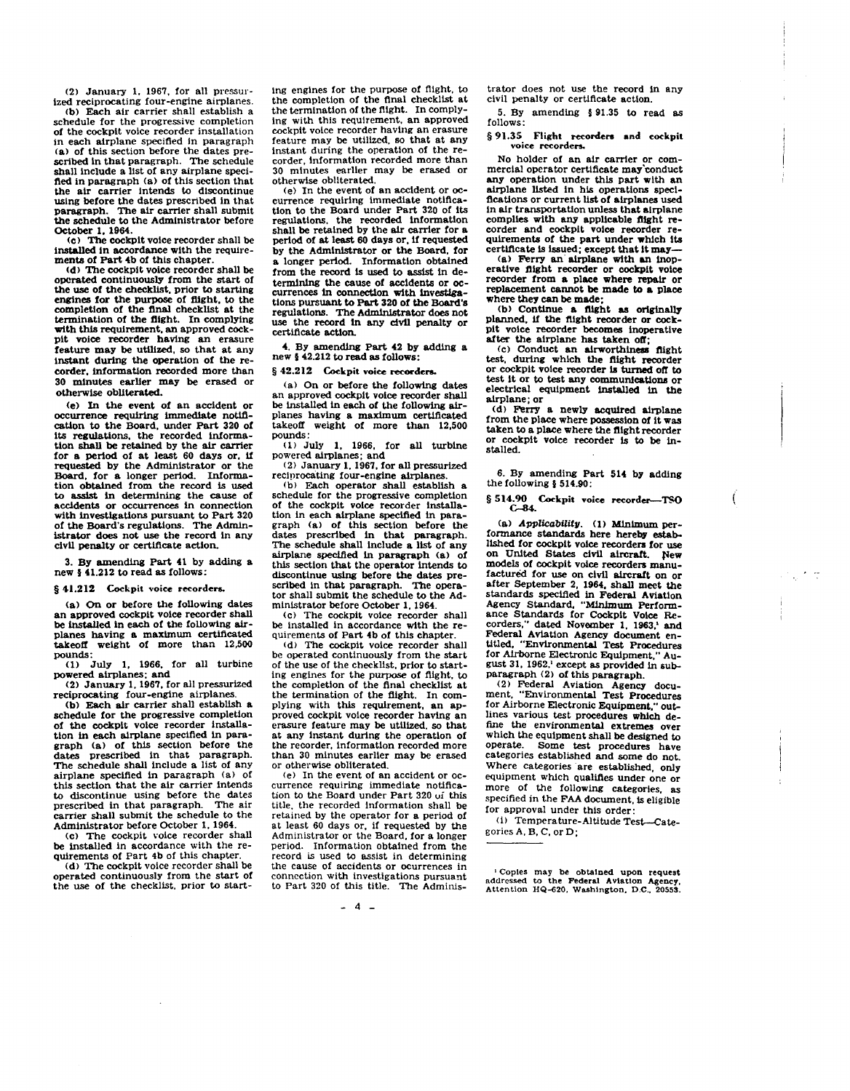(2) January 1, 1967, for all pressurized reciprocating four-engine airplanes.<br>(b) Each air carrier shall establish a

schedule for the progressive completion of the cockpit voice recorder installation in each airplane specified In paragraph (a) of this section before the dates prescribed in that paragraph. The schedule shall include a list of any airplane specified in paragraph (a) of this section that the air carrier Intends to discontinue using before the dates prescribed in that paragraph. The air carrier shall submit the schedule to the Administrator before

October 1, 1964.<br>
(c) The cockpit voice recorder shall be Installed in accordance with the require-<br>ments of Part 4b of this chapter.<br>(d) The cockpit voice recorder shall be

operated continuously from the start of the use of the checklist, prior to starting engines for the purpose of flight, to the completion of the final checklist at the termination of the flight. In complying with this requirement, an approved cockpit voice recorder having an erasure feature may be utilized, so that at any instant during the operation of the recorder, information recorded more than 30 minutes earHer may be erased or otherwise obliterated.

(e) In the event of an accident or occurrence requiring immediate notification to the Board, under Part 320 of its regulations, the recorded information shall be retained by the air carrier for a period of at least 60 days or, If requested by the Administrator or the Board, for a longer period. Informa-<br>tion obtained from the record is used to assist in determining the cause of accldents or occurrences in connection with investigations pursuant to Part 320 of the Board's regulations. The Admin-Istrator does not use the record In any civIl penalty or certificate action.

3. By amending Part 41 by adding a new § 41.212 to read as follows:

§ 41.212 Cockpit voice recorders

(al On or before the following dates an approved cockpit voice recorder shall be Installed in each of the following airplanes having a maximum certificated takeoff weight of more than 12,500 pounds:

(1) July I, 1966, for all turbine powered airplanes; and

(2) January 1, 1967, for all pressurized

reciprocating four-engine airplanes.<br>(b) Each air carrier shall establish a schedule for the progressive completion of the cockpit voice recorder installation in each alrplane specified in paragraph (al of this section before the dates prescribed in that paragraph. The schedule shall include a list of any airplane specified in paragraph (a) of this section that the air carrier intends to discontinue using before the dates prescribed in that paragraph. carrier shall submit the schedule to the Administrator before October 1, 1964.

(c) The cockpit voice recorder shall<br>be installed in accordance with the requirements of Part 4b of this chapter.

(d) The cockpit voice recorder shall be operated continuously from the start of the use of the checklist, prior to starting engines for the purpose of flight, to<br>the completion of the final checklist at the termination of the flight. In complying with this requirement, an approved<br>cockpit voice recorder having an erasure feature may be utilized, so that at any instant during the operation of the recorder, information recorded more than 30 minutes earlier may be erased or otherwise obliterated.<br>(e) In the event of an accident or oc-

currence requiring immediate notification to the Board under Part 320 of Its regulations. the recorded information<br>shall be retained by the air carrier for a period of at least 60 days or, if requested by the Administrator or the Board, for a longer period. Information obtained from the record is used to assist in determining the cause of accidents or oc-<br>currences in connection with investigations pursuant to Part 320 of the Board's use the record in any civil penalty or certificate action.

4. By amending Part 42 by adding a new  $\frac{1}{2}$  42.212 to read as follows:

§ 42.212 Cockpit voice recorders.

(al On or before the following dates an approved cockpit voice recorder shall be installed in each of the following airplanes having a maximum certificated takeoff weight of more than 12,500 pounds:

(1) July I, 1966, for all turbine powered airplanes; and

(2) January 1. 1967, for all pressurized reciprocating four-engine airplanes.<br>
(b) Each operator shall establish a

schedule for the progressive completion of the cockpit voice recorder installation in each airplane specified in paragraph (a) of this section before the dates prescribed in that paragraph. The schedule shall include a list of any airplane specified in paragraph (a) of this section that the operator intends to discontinue using before the dates prescribed in that paragraph. The opera-<br>tor shall submit the schedule to the Administrator before October I, 1964.

(c) The cockpit voice recorder shall quirements of Part 4b of this chapter.

(d) The cockpit voice recorder shall<br>be operated continuously from the start of the use of the checklist, prior to start-<br>ing engines for the purpose of flight, to<br>the completion of the final checklist at<br>the termination of the flight. In com-<br>plying with this requirement. an anproved cockpit voice recorder having an erasure feature may be utIlized. so that at any instant during the operation of the recorder, information recorded more<br>than 30 minutes earlier may be erased<br>or otherwise obliterated.<br>(e) In the event of an accident or oc-

currence requiring immediate notification to the Board under Part 320 ui this title, the recorded information shall be<br>retained by the operator for a period of at least 60 days or, if requested by the Administrator or the Board. for a longer period. Information obtained from the record is used to assist in determining the cause of accidents or ocurrences in connection with Investigations pursuant to Part 320 of this title. The Adminis-

- 4 -

trator does not use the record in any civil penalty or certificate action.

5. By amending § 91.35 to read as follows:

## § 91.35 Flight recorders and cockpit **voice recorders..**

No holder of an air carrier or com-<br>mercial operator certificate may'conduct<br>any operation under this part with an airplane listed in his operations speciflcations or current llst of airplanes used in air transportation unless that airplane corder and cockpit voice recorder re- quirements of the part under which its certificate is issued; except that it may-

(al Ferry an' airplane with an inoperative flight recorder or cockpit voice<br>recorder from a place where repair or replacement cannot be made to a place where they can be made;

(b) Continue a flight as originally planned, if the flight recorder or cockpit voice recorder becomes Inoperative after the airplane has taken off;

(c) Conduct an airworthiness flight test, during which the flight recorder or cockpit voice recorder is turned off to test it or to test any communications or electrical equipment installed in the airplane; or

(d) Ferry a newly acquired airplane from the place where possession of it was<br>taken to a place where the flight recorder or cockpit voice recorder is to be installed.

6. By amending Part 514 by adding the following § 514.90:

§ 514.90 Cockpit voice recorder--TSO<br>C-84.

ĺ

(a) *Applicability.* (1) Minimum performance standards here hereby estabon United States civil aircraft. New models of cockpit voice recorders manu-<br>factured for use on civil aircraft on or after September 2, 1964, shall meet the standards specified in Federal Aviation Agency Standard, "MinJmum Perform- ance Standards for Cockpit Voice Re-corders," dated November I, 1963.' and Federal Aviation Agency document en- titled, "Environmental Test Procedures for Airborne Electronic Equipment," August 31, 1962.' except as provided in subparagraph (2) of this paragraph.

(2) Federal AViation Agency docu-ment, "Environmental Test Procedures for Airborne Electronic Equipment," out- lines various test procedures which dewhich the equipment shall be designed to operate. Some test procedures have categories established and some do not. Where categories are established, only equipment which Qualifies under one or more of the following categories, as specified in the FAA document, is eligible for approval under this order:

(i) Temperature-Altitude Test-Categories A, B, C, or D;

'Copies may be obtained upon request addressed to the Federal Aviation Agency, Attention HQ-620. Washington. D.C .• 20553.